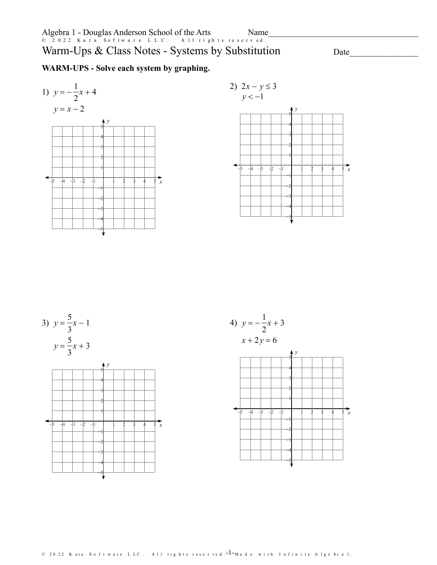Name

# Warm-Ups & Class Notes - Systems by Substitution

Date

 $\overline{x}$ 

 $\frac{1}{2}$  x

# WARM-UPS - Solve each system by graphing.



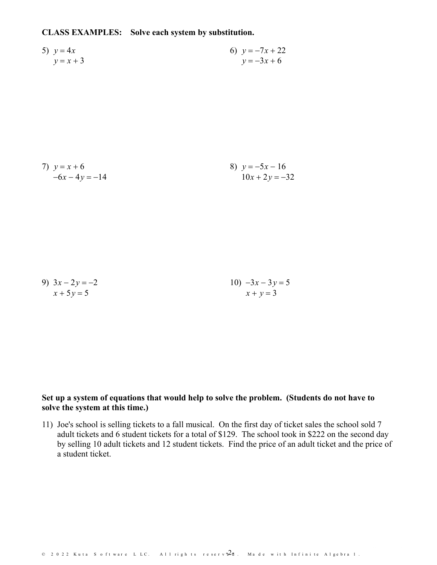**CLASS EXAMPLES: Solve each system by substitution.**

5) 
$$
y = 4x
$$
  
\n $y = x + 3$   
\n6)  $y = -7x + 22$   
\n $y = -3x + 6$ 

7) 
$$
y=x+6
$$
  
\n $-6x-4y=-14$   
\n8)  $y=-5x-16$   
\n $10x+2y=-32$ 

9) 
$$
3x - 2y = -2
$$
  
\n $x + 5y = 5$   
\n10)  $-3x - 3y = 5$   
\n $x + y = 3$ 

## **Set up a system of equations that would help tosolve the problem. (Students do not have to solve the system at this time.)**

11) Joe's school is selling tickets to a fall musical. On the first day of ticket sales the school sold 7 adult tickets and 6 student tickets for a total of \$129. The school took in \$222 on the second day by selling 10 adult tickets and 12 student tickets. Find the price of an adult ticket and the price of a student ticket.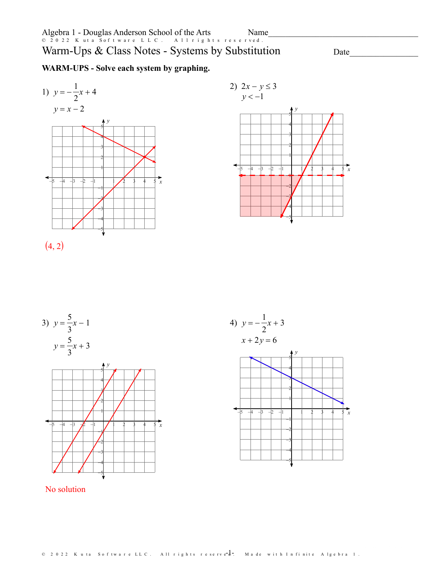Warm-Ups & Class Notes - Systems by Substitution

Date

# WARM-UPS - Solve each system by graphing.









## No solution